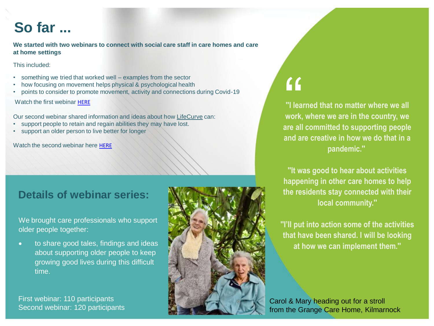## **So far ...**

**We started with two webinars to connect with social care staff in care homes and care at home settings**

This included:

- something we tried that worked well examples from the sector
- how focusing on movement helps physical & psychological health
- points to consider to promote movement, activity and connections during Covid-19

Watch the first webinar [HERE](https://youtu.be/ahbOQTN3dKs)

Our second webinar shared information and ideas about how [LifeCurve](https://www.adlsmartcare.com/Home/LifeCurve) can:

- support people to retain and regain abilities they may have lost.
- support an older person to live better for longer

Watch the second webinar here [HERE](https://youtu.be/oKDnZjM1SK8)

### **Details of webinar series:**

We brought care professionals who support older people together:

• to share good tales, findings and ideas about supporting older people to keep growing good lives during this difficult time.

First webinar: 110 participants Second webinar: 120 participants



# "

**''I learned that no matter where we all work, where we are in the country, we are all committed to supporting people and are creative in how we do that in a pandemic.''**

**''It was good to hear about activities happening in other care homes to help the residents stay connected with their local community.''**

**''I'll put into action some of the activities that have been shared. I will be looking at how we can implement them.''**

Carol & Mary heading out for a stroll from the Grange Care Home, Kilmarnock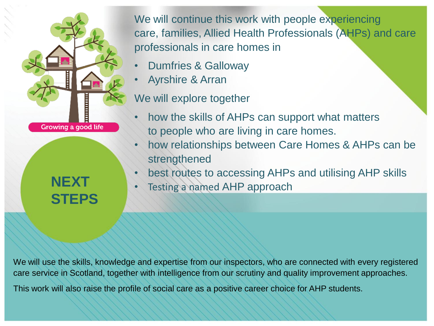

**NEXT STEPS** We will continue this work with people experiencing care, families, Allied Health Professionals (AHPs) and care professionals in care homes in

- Dumfries & Galloway
- Ayrshire & Arran

We will explore together

- how the skills of AHPs can support what matters to people who are living in care homes.
- how relationships between Care Homes & AHPs can be strengthened
- best routes to accessing AHPs and utilising AHP skills
- Testing a named AHP approach

We will use the skills, knowledge and expertise from our inspectors, who are connected with every registered care service in Scotland, together with intelligence from our scrutiny and quality improvement approaches.

This work will also raise the profile of social care as a positive career choice for AHP students.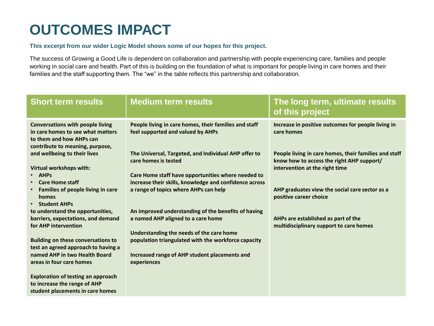# **OUTCOMES IMPACT**

#### **This excerpt from our wider Logic Model shows some of our hopes for this project.**

The success of Growing a Good Life is dependent on collaboration and partnership with people experiencing care, families and people working in social care and health. Part of this is building on the foundation of what is important for people living in care homes and their families and the staff supporting them. The "we" in the table reflects this partnership and collaboration.

| <b>Short term results</b>                                                                                                                   | <b>Medium term results</b>                                                                                   | The long term, ultimate results<br>of this project                                                                                   |
|---------------------------------------------------------------------------------------------------------------------------------------------|--------------------------------------------------------------------------------------------------------------|--------------------------------------------------------------------------------------------------------------------------------------|
| <b>Conversations with people living</b><br>in care homes to see what matters<br>to them and how AHPs can<br>contribute to meaning, purpose, | People living in care homes, their families and staff<br>feel supported and valued by AHPs                   | Increase in positive outcomes for people living in<br>care homes                                                                     |
| and wellbeing to their lives<br>Virtual workshops with:                                                                                     | The Universal, Targeted, and Individual AHP offer to<br>care homes is tested                                 | People living in care homes, their families and staff<br>know how to access the right AHP support/<br>intervention at the right time |
| <b>AHPs</b><br>$\bullet$<br><b>Care Home staff</b><br>$\bullet$                                                                             | Care Home staff have opportunities where needed to<br>increase their skills, knowledge and confidence across |                                                                                                                                      |
| Families of people living in care<br>$\bullet$<br>homes<br><b>Student AHPs</b><br>$\bullet$                                                 | a range of topics where AHPs can help                                                                        | AHP graduates view the social care sector as a<br>positive career choice                                                             |
| to understand the opportunities,                                                                                                            | An improved understanding of the benefits of having                                                          |                                                                                                                                      |
| barriers, expectations, and demand<br>for AHP intervention                                                                                  | a named AHP aligned to a care home                                                                           | AHPs are established as part of the<br>multidisciplinary support to care homes                                                       |
| <b>Building on these conversations to</b><br>test an agreed approach to having a                                                            | Understanding the needs of the care home<br>population triangulated with the workforce capacity              |                                                                                                                                      |
| named AHP in two Health Board<br>areas in four care homes                                                                                   | Increased range of AHP student placements and<br>experiences                                                 |                                                                                                                                      |
| <b>Exploration of testing an approach</b><br>to increase the range of AHP<br>student placements in care homes                               |                                                                                                              |                                                                                                                                      |
|                                                                                                                                             |                                                                                                              |                                                                                                                                      |